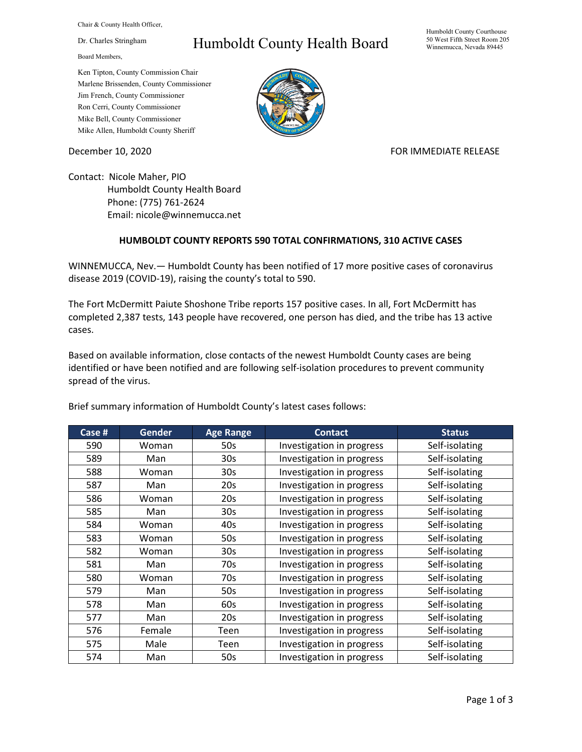Chair & County Health Officer,

Dr. Charles Stringham

Board Members,

## Humboldt County Health Board

Humboldt County Courthouse 50 West Fifth Street Room 205 Winnemucca, Nevada 89445

Ken Tipton, County Commission Chair Marlene Brissenden, County Commissioner Jim French, County Commissioner Ron Cerri, County Commissioner Mike Bell, County Commissioner Mike Allen, Humboldt County Sheriff

December 10, 2020 **FOR IMMEDIATE RELEASE** 

Contact: Nicole Maher, PIO Humboldt County Health Board Phone: (775) 761-2624 Email: nicole@winnemucca.net

## **HUMBOLDT COUNTY REPORTS 590 TOTAL CONFIRMATIONS, 310 ACTIVE CASES**

WINNEMUCCA, Nev.— Humboldt County has been notified of 17 more positive cases of coronavirus disease 2019 (COVID-19), raising the county's total to 590.

The Fort McDermitt Paiute Shoshone Tribe reports 157 positive cases. In all, Fort McDermitt has completed 2,387 tests, 143 people have recovered, one person has died, and the tribe has 13 active cases.

Based on available information, close contacts of the newest Humboldt County cases are being identified or have been notified and are following self-isolation procedures to prevent community spread of the virus.

| Case # | <b>Gender</b> | <b>Age Range</b> | <b>Contact</b>            | <b>Status</b>  |
|--------|---------------|------------------|---------------------------|----------------|
| 590    | Woman         | 50s              | Investigation in progress | Self-isolating |
| 589    | Man           | 30 <sub>s</sub>  | Investigation in progress | Self-isolating |
| 588    | Woman         | 30s              | Investigation in progress | Self-isolating |
| 587    | Man           | 20s              | Investigation in progress | Self-isolating |
| 586    | Woman         | 20s              | Investigation in progress | Self-isolating |
| 585    | Man           | 30 <sub>s</sub>  | Investigation in progress | Self-isolating |
| 584    | Woman         | 40s              | Investigation in progress | Self-isolating |
| 583    | Woman         | 50s              | Investigation in progress | Self-isolating |
| 582    | Woman         | 30 <sub>s</sub>  | Investigation in progress | Self-isolating |
| 581    | Man           | 70s              | Investigation in progress | Self-isolating |
| 580    | Woman         | 70s              | Investigation in progress | Self-isolating |
| 579    | Man           | 50s              | Investigation in progress | Self-isolating |
| 578    | Man           | 60s              | Investigation in progress | Self-isolating |
| 577    | Man           | 20s              | Investigation in progress | Self-isolating |
| 576    | Female        | Teen             | Investigation in progress | Self-isolating |
| 575    | Male          | Teen             | Investigation in progress | Self-isolating |
| 574    | Man           | 50s              | Investigation in progress | Self-isolating |

Brief summary information of Humboldt County's latest cases follows: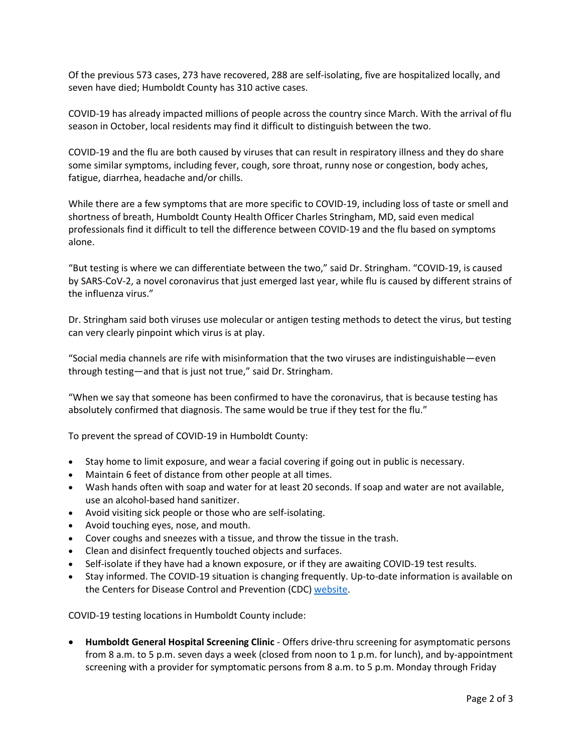Of the previous 573 cases, 273 have recovered, 288 are self-isolating, five are hospitalized locally, and seven have died; Humboldt County has 310 active cases.

COVID-19 has already impacted millions of people across the country since March. With the arrival of flu season in October, local residents may find it difficult to distinguish between the two.

COVID-19 and the flu are both caused by viruses that can result in respiratory illness and they do share some similar symptoms, including fever, cough, sore throat, runny nose or congestion, body aches, fatigue, diarrhea, headache and/or chills.

While there are a few symptoms that are more specific to COVID-19, including loss of taste or smell and shortness of breath, Humboldt County Health Officer Charles Stringham, MD, said even medical professionals find it difficult to tell the difference between COVID-19 and the flu based on symptoms alone.

"But testing is where we can differentiate between the two," said Dr. Stringham. "COVID-19, is caused by SARS-CoV-2, a novel coronavirus that just emerged last year, while flu is caused by different strains of the influenza virus."

Dr. Stringham said both viruses use molecular or antigen testing methods to detect the virus, but testing can very clearly pinpoint which virus is at play.

"Social media channels are rife with misinformation that the two viruses are indistinguishable—even through testing—and that is just not true," said Dr. Stringham.

"When we say that someone has been confirmed to have the coronavirus, that is because testing has absolutely confirmed that diagnosis. The same would be true if they test for the flu."

To prevent the spread of COVID-19 in Humboldt County:

- Stay home to limit exposure, and wear a facial covering if going out in public is necessary.
- Maintain 6 feet of distance from other people at all times.
- Wash hands often with soap and water for at least 20 seconds. If soap and water are not available, use an alcohol-based hand sanitizer.
- Avoid visiting sick people or those who are self-isolating.
- Avoid touching eyes, nose, and mouth.
- Cover coughs and sneezes with a tissue, and throw the tissue in the trash.
- Clean and disinfect frequently touched objects and surfaces.
- Self-isolate if they have had a known exposure, or if they are awaiting COVID-19 test results.
- Stay informed. The COVID-19 situation is changing frequently. Up-to-date information is available on the Centers for Disease Control and Prevention (CDC) [website.](http://www.cdc.gov/coronavirus/2019-ncov/index.html)

COVID-19 testing locations in Humboldt County include:

• **Humboldt General Hospital Screening Clinic** - Offers drive-thru screening for asymptomatic persons from 8 a.m. to 5 p.m. seven days a week (closed from noon to 1 p.m. for lunch), and by-appointment screening with a provider for symptomatic persons from 8 a.m. to 5 p.m. Monday through Friday